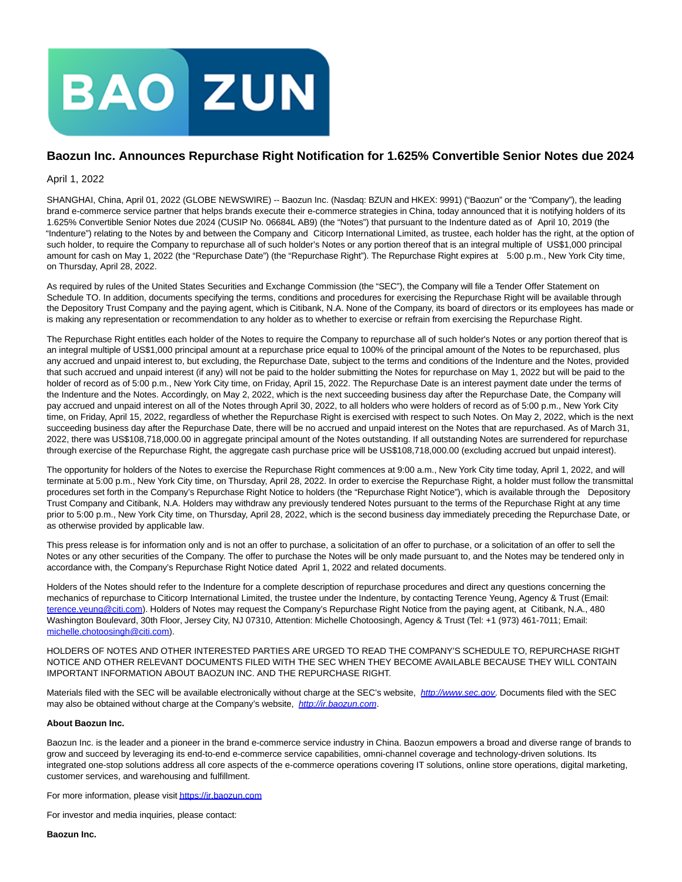

## **Baozun Inc. Announces Repurchase Right Notification for 1.625% Convertible Senior Notes due 2024**

April 1, 2022

SHANGHAI, China, April 01, 2022 (GLOBE NEWSWIRE) -- Baozun Inc. (Nasdaq: BZUN and HKEX: 9991) ("Baozun" or the "Company"), the leading brand e-commerce service partner that helps brands execute their e-commerce strategies in China, today announced that it is notifying holders of its 1.625% Convertible Senior Notes due 2024 (CUSIP No. 06684L AB9) (the "Notes") that pursuant to the Indenture dated as of April 10, 2019 (the "Indenture") relating to the Notes by and between the Company and Citicorp International Limited, as trustee, each holder has the right, at the option of such holder, to require the Company to repurchase all of such holder's Notes or any portion thereof that is an integral multiple of US\$1,000 principal amount for cash on May 1, 2022 (the "Repurchase Date") (the "Repurchase Right"). The Repurchase Right expires at 5:00 p.m., New York City time, on Thursday, April 28, 2022.

As required by rules of the United States Securities and Exchange Commission (the "SEC"), the Company will file a Tender Offer Statement on Schedule TO. In addition, documents specifying the terms, conditions and procedures for exercising the Repurchase Right will be available through the Depository Trust Company and the paying agent, which is Citibank, N.A. None of the Company, its board of directors or its employees has made or is making any representation or recommendation to any holder as to whether to exercise or refrain from exercising the Repurchase Right.

The Repurchase Right entitles each holder of the Notes to require the Company to repurchase all of such holder's Notes or any portion thereof that is an integral multiple of US\$1,000 principal amount at a repurchase price equal to 100% of the principal amount of the Notes to be repurchased, plus any accrued and unpaid interest to, but excluding, the Repurchase Date, subject to the terms and conditions of the Indenture and the Notes, provided that such accrued and unpaid interest (if any) will not be paid to the holder submitting the Notes for repurchase on May 1, 2022 but will be paid to the holder of record as of 5:00 p.m., New York City time, on Friday, April 15, 2022. The Repurchase Date is an interest payment date under the terms of the Indenture and the Notes. Accordingly, on May 2, 2022, which is the next succeeding business day after the Repurchase Date, the Company will pay accrued and unpaid interest on all of the Notes through April 30, 2022, to all holders who were holders of record as of 5:00 p.m., New York City time, on Friday, April 15, 2022, regardless of whether the Repurchase Right is exercised with respect to such Notes. On May 2, 2022, which is the next succeeding business day after the Repurchase Date, there will be no accrued and unpaid interest on the Notes that are repurchased. As of March 31, 2022, there was US\$108,718,000.00 in aggregate principal amount of the Notes outstanding. If all outstanding Notes are surrendered for repurchase through exercise of the Repurchase Right, the aggregate cash purchase price will be US\$108,718,000.00 (excluding accrued but unpaid interest).

The opportunity for holders of the Notes to exercise the Repurchase Right commences at 9:00 a.m., New York City time today, April 1, 2022, and will terminate at 5:00 p.m., New York City time, on Thursday, April 28, 2022. In order to exercise the Repurchase Right, a holder must follow the transmittal procedures set forth in the Company's Repurchase Right Notice to holders (the "Repurchase Right Notice"), which is available through the Depository Trust Company and Citibank, N.A. Holders may withdraw any previously tendered Notes pursuant to the terms of the Repurchase Right at any time prior to 5:00 p.m., New York City time, on Thursday, April 28, 2022, which is the second business day immediately preceding the Repurchase Date, or as otherwise provided by applicable law.

This press release is for information only and is not an offer to purchase, a solicitation of an offer to purchase, or a solicitation of an offer to sell the Notes or any other securities of the Company. The offer to purchase the Notes will be only made pursuant to, and the Notes may be tendered only in accordance with, the Company's Repurchase Right Notice dated April 1, 2022 and related documents.

Holders of the Notes should refer to the Indenture for a complete description of repurchase procedures and direct any questions concerning the mechanics of repurchase to Citicorp International Limited, the trustee under the Indenture, by contacting Terence Yeung, Agency & Trust (Email: [terence.yeung@citi.com\).](mailto:terence.yeung@citi.com) Holders of Notes may request the Company's Repurchase Right Notice from the paying agent, at Citibank, N.A., 480 Washington Boulevard, 30th Floor, Jersey City, NJ 07310, Attention: Michelle Chotoosingh, Agency & Trust (Tel: +1 (973) 461-7011; Email: [michelle.chotoosingh@citi.com\).](mailto:michelle.chotoosingh@citi.com)

HOLDERS OF NOTES AND OTHER INTERESTED PARTIES ARE URGED TO READ THE COMPANY'S SCHEDULE TO, REPURCHASE RIGHT NOTICE AND OTHER RELEVANT DOCUMENTS FILED WITH THE SEC WHEN THEY BECOME AVAILABLE BECAUSE THEY WILL CONTAIN IMPORTANT INFORMATION ABOUT BAOZUN INC. AND THE REPURCHASE RIGHT.

Materials filed with the SEC will be available electronically without charge at the SEC's website, [http://www.sec.gov](http://www.sec.gov/). Documents filed with the SEC may also be obtained without charge at the Company's website, [http://ir.baozun.com](http://ir.baozun.com/).

## **About Baozun Inc.**

Baozun Inc. is the leader and a pioneer in the brand e-commerce service industry in China. Baozun empowers a broad and diverse range of brands to grow and succeed by leveraging its end-to-end e-commerce service capabilities, omni-channel coverage and technology-driven solutions. Its integrated one-stop solutions address all core aspects of the e-commerce operations covering IT solutions, online store operations, digital marketing, customer services, and warehousing and fulfillment.

For more information, please visi[t https://ir.baozun.com](https://www.globenewswire.com/Tracker?data=2ySkA1M8x5itY7Vfpz-iA13OsPw9__AoxGGCeeazj7hfPEeavdjDCTXPvZiq_-9lz5uoUXFVjLKkPhIMX79SZgr3duRc-sHC_X_4nzy94TI=)

For investor and media inquiries, please contact:

**Baozun Inc.**